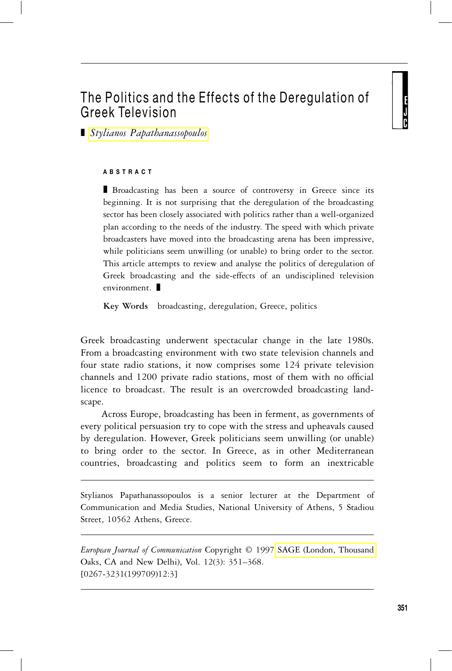# The Politics and the Effects of the Deregulation of Greek Television

<sup>j</sup> *Stylianos Papathanassopoulos*

#### **ABSTRACT**

**Broadcasting has been a source of controversy in Greece since its** beginning. It is not surprising that the deregulation of the broadcasting sector has been closely associated with politics rather than a well-organized plan according to the needs of the industry. The speed with which private broadcasters have moved into the broadcasting arena has been impressive, while politicians seem unwilling (or unable) to bring order to the sector. This article attempts to review and analyse the politics of deregulation of Greek broadcasting and the side-effects of an undisciplined television  $environment.$ 

**Key Words** broadcasting, deregulation, Greece, politics

Greek broadcasting underwent spectacular change in the late 1980s. From a broadcasting environment with two state television channels and four state radio stations, it now comprises some 124 private television channels and 1200 private radio stations, most of them with no official licence to broadcast. The result is an overcrowded broadcasting landscape.

Across Europe, broadcasting has been in ferment, as governments of every political persuasion try to cope with the stress and upheavals caused by deregulation. However, Greek politicians seem unwilling (or unable) to bring order to the sector. In Greece, as in other Mediterranean countries, broadcasting and politics seem to form an inextricable

Stylianos Papathanassopoulos is a senior lecturer at the Department of Communication and Media Studies, National University of Athens, 5 Stadiou Street, 10562 Athens, Greece.

*European Journal of Communication* Copyright © 1997 [SAGE \(London, Thousand](http://www.sagepub.co.uk) Oaks, CA and New Delhi), Vol. 12(3): 351–368. [0267-3231(199709)12:3]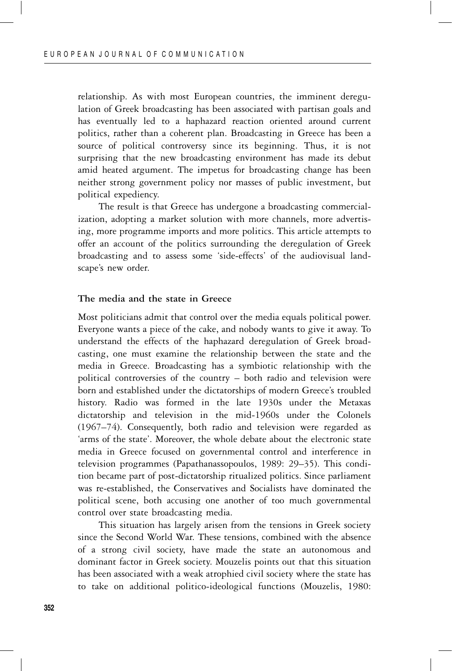relationship. As with most European countries, the imminent deregulation of Greek broadcasting has been associated with partisan goals and has eventually led to a haphazard reaction oriented around current politics, rather than a coherent plan. Broadcasting in Greece has been a source of political controversy since its beginning. Thus, it is not surprising that the new broadcasting environment has made its debut amid heated argument. The impetus for broadcasting change has been neither strong government policy nor masses of public investment, but political expediency.

The result is that Greece has undergone a broadcasting commercialization, adopting a market solution with more channels, more advertising, more programme imports and more politics. This article attempts to offer an account of the politics surrounding the deregulation of Greek broadcasting and to assess some 'side-effects' of the audiovisual landscape's new order.

# **The media and the state in Greece**

Most politicians admit that control over the media equals political power. Everyone wants a piece of the cake, and nobody wants to give it away. To understand the effects of the haphazard deregulation of Greek broadcasting, one must examine the relationship between the state and the media in Greece. Broadcasting has a symbiotic relationship with the political controversies of the country – both radio and television were born and established under the dictatorships of modern Greece's troubled history. Radio was formed in the late 1930s under the Metaxas dictatorship and television in the mid-1960s under the Colonels (1967–74). Consequently, both radio and television were regarded as 'arms of the state'. Moreover, the whole debate about the electronic state media in Greece focused on governmental control and interference in television programmes (Papathanassopoulos, 1989: 29–35). This condition became part of post-dictatorship ritualized politics. Since parliament was re-established, the Conservatives and Socialists have dominated the political scene, both accusing one another of too much governmental control over state broadcasting media.

This situation has largely arisen from the tensions in Greek society since the Second World War. These tensions, combined with the absence of a strong civil society, have made the state an autonomous and dominant factor in Greek society. Mouzelis points out that this situation has been associated with a weak atrophied civil society where the state has to take on additional politico-ideological functions (Mouzelis, 1980: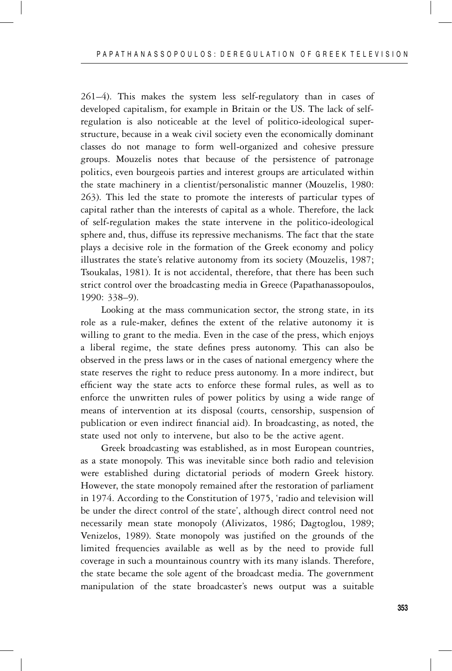261–4). This makes the system less self-regulatory than in cases of developed capitalism, for example in Britain or the US. The lack of selfregulation is also noticeable at the level of politico-ideological superstructure, because in a weak civil society even the economically dominant classes do not manage to form well-organized and cohesive pressure groups. Mouzelis notes that because of the persistence of patronage politics, even bourgeois parties and interest groups are articulated within the state machinery in a clientist/personalistic manner (Mouzelis, 1980: 263). This led the state to promote the interests of particular types of capital rather than the interests of capital as a whole. Therefore, the lack of self-regulation makes the state intervene in the politico-ideological sphere and, thus, diffuse its repressive mechanisms. The fact that the state plays a decisive role in the formation of the Greek economy and policy illustrates the state's relative autonomy from its society (Mouzelis, 1987; Tsoukalas, 1981). It is not accidental, therefore, that there has been such strict control over the broadcasting media in Greece (Papathanassopoulos, 1990: 338–9).

Looking at the mass communication sector, the strong state, in its role as a rule-maker, defines the extent of the relative autonomy it is willing to grant to the media. Even in the case of the press, which enjoys a liberal regime, the state defines press autonomy. This can also be observed in the press laws or in the cases of national emergency where the state reserves the right to reduce press autonomy. In a more indirect, but efficient way the state acts to enforce these formal rules, as well as to enforce the unwritten rules of power politics by using a wide range of means of intervention at its disposal (courts, censorship, suspension of publication or even indirect financial aid). In broadcasting, as noted, the state used not only to intervene, but also to be the active agent.

Greek broadcasting was established, as in most European countries, as a state monopoly. This was inevitable since both radio and television were established during dictatorial periods of modern Greek history. However, the state monopoly remained after the restoration of parliament in 1974. According to the Constitution of 1975, 'radio and television will be under the direct control of the state', although direct control need not necessarily mean state monopoly (Alivizatos, 1986; Dagtoglou, 1989; Venizelos, 1989). State monopoly was justified on the grounds of the limited frequencies available as well as by the need to provide full coverage in such a mountainous country with its many islands. Therefore, the state became the sole agent of the broadcast media. The government manipulation of the state broadcaster's news output was a suitable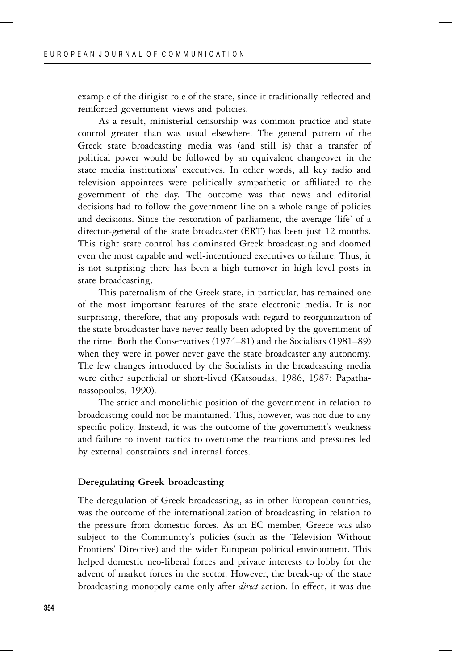example of the dirigist role of the state, since it traditionally reflected and reinforced government views and policies.

As a result, ministerial censorship was common practice and state control greater than was usual elsewhere. The general pattern of the Greek state broadcasting media was (and still is) that a transfer of political power would be followed by an equivalent changeover in the state media institutions' executives. In other words, all key radio and television appointees were politically sympathetic or affiliated to the government of the day. The outcome was that news and editorial decisions had to follow the government line on a whole range of policies and decisions. Since the restoration of parliament, the average 'life' of a director-general of the state broadcaster (ERT) has been just 12 months. This tight state control has dominated Greek broadcasting and doomed even the most capable and well-intentioned executives to failure. Thus, it is not surprising there has been a high turnover in high level posts in state broadcasting.

This paternalism of the Greek state, in particular, has remained one of the most important features of the state electronic media. It is not surprising, therefore, that any proposals with regard to reorganization of the state broadcaster have never really been adopted by the government of the time. Both the Conservatives (1974–81) and the Socialists (1981–89) when they were in power never gave the state broadcaster any autonomy. The few changes introduced by the Socialists in the broadcasting media were either superficial or short-lived (Katsoudas, 1986, 1987; Papathanassopoulos, 1990).

The strict and monolithic position of the government in relation to broadcasting could not be maintained. This, however, was not due to any specific policy. Instead, it was the outcome of the government's weakness and failure to invent tactics to overcome the reactions and pressures led by external constraints and internal forces.

#### **Deregulating Greek broadcasting**

The deregulation of Greek broadcasting, as in other European countries, was the outcome of the internationalization of broadcasting in relation to the pressure from domestic forces. As an EC member, Greece was also subject to the Community's policies (such as the 'Television Without Frontiers' Directive) and the wider European political environment. This helped domestic neo-liberal forces and private interests to lobby for the advent of market forces in the sector. However, the break-up of the state broadcasting monopoly came only after *direct* action. In effect, it was due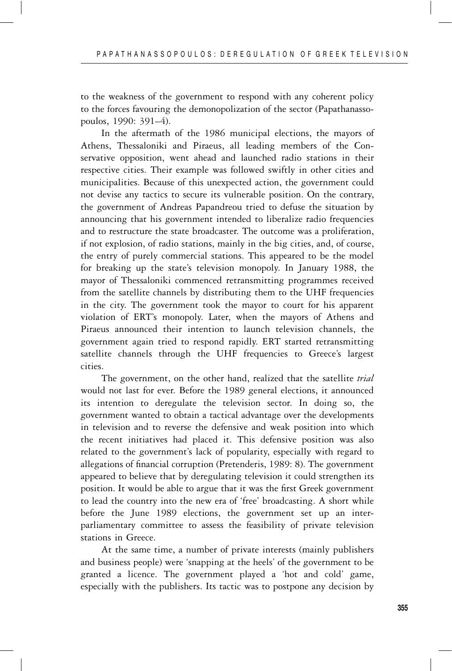to the weakness of the government to respond with any coherent policy to the forces favouring the demonopolization of the sector (Papathanassopoulos, 1990: 391–4).

In the aftermath of the 1986 municipal elections, the mayors of Athens, Thessaloniki and Piraeus, all leading members of the Conservative opposition, went ahead and launched radio stations in their respective cities. Their example was followed swiftly in other cities and municipalities. Because of this unexpected action, the government could not devise any tactics to secure its vulnerable position. On the contrary, the government of Andreas Papandreou tried to defuse the situation by announcing that his government intended to liberalize radio frequencies and to restructure the state broadcaster. The outcome was a proliferation, if not explosion, of radio stations, mainly in the big cities, and, of course, the entry of purely commercial stations. This appeared to be the model for breaking up the state's television monopoly. In January 1988, the mayor of Thessaloniki commenced retransmitting programmes received from the satellite channels by distributing them to the UHF frequencies in the city. The government took the mayor to court for his apparent violation of ERT's monopoly. Later, when the mayors of Athens and Piraeus announced their intention to launch television channels, the government again tried to respond rapidly. ERT started retransmitting satellite channels through the UHF frequencies to Greece's largest cities.

The government, on the other hand, realized that the satellite *trial* would not last for ever. Before the 1989 general elections, it announced its intention to deregulate the television sector. In doing so, the government wanted to obtain a tactical advantage over the developments in television and to reverse the defensive and weak position into which the recent initiatives had placed it. This defensive position was also related to the government's lack of popularity, especially with regard to allegations of financial corruption (Pretenderis, 1989: 8). The government appeared to believe that by deregulating television it could strengthen its position. It would be able to argue that it was the first Greek government to lead the country into the new era of 'free' broadcasting. A short while before the June 1989 elections, the government set up an interparliamentary committee to assess the feasibility of private television stations in Greece.

At the same time, a number of private interests (mainly publishers and business people) were 'snapping at the heels' of the government to be granted a licence. The government played a 'hot and cold' game, especially with the publishers. Its tactic was to postpone any decision by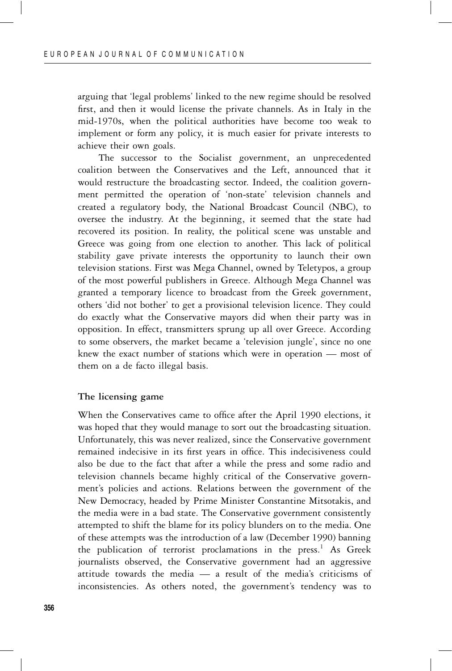arguing that 'legal problems' linked to the new regime should be resolved first, and then it would license the private channels. As in Italy in the mid-1970s, when the political authorities have become too weak to implement or form any policy, it is much easier for private interests to achieve their own goals.

The successor to the Socialist government, an unprecedented coalition between the Conservatives and the Left, announced that it would restructure the broadcasting sector. Indeed, the coalition government permitted the operation of 'non-state' television channels and created a regulatory body, the National Broadcast Council (NBC), to oversee the industry. At the beginning, it seemed that the state had recovered its position. In reality, the political scene was unstable and Greece was going from one election to another. This lack of political stability gave private interests the opportunity to launch their own television stations. First was Mega Channel, owned by Teletypos, a group of the most powerful publishers in Greece. Although Mega Channel was granted a temporary licence to broadcast from the Greek government, others 'did not bother' to get a provisional television licence. They could do exactly what the Conservative mayors did when their party was in opposition. In effect, transmitters sprung up all over Greece. According to some observers, the market became a 'television jungle', since no one knew the exact number of stations which were in operation — most of them on a de facto illegal basis.

# **The licensing game**

When the Conservatives came to office after the April 1990 elections, it was hoped that they would manage to sort out the broadcasting situation. Unfortunately, this was never realized, since the Conservative government remained indecisive in its first years in office. This indecisiveness could also be due to the fact that after a while the press and some radio and television channels became highly critical of the Conservative government's policies and actions. Relations between the government of the New Democracy, headed by Prime Minister Constantine Mitsotakis, and the media were in a bad state. The Conservative government consistently attempted to shift the blame for its policy blunders on to the media. One of these attempts was the introduction of a law (December 1990) banning the publication of terrorist proclamations in the press.<sup>1</sup> As Greek journalists observed, the Conservative government had an aggressive attitude towards the media — a result of the media's criticisms of inconsistencies. As others noted, the government's tendency was to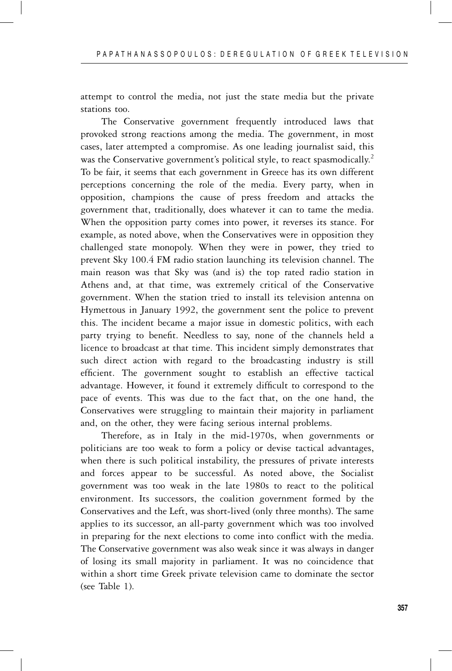attempt to control the media, not just the state media but the private stations too.

The Conservative government frequently introduced laws that provoked strong reactions among the media. The government, in most cases, later attempted a compromise. As one leading journalist said, this was the Conservative government's political style, to react spasmodically.<sup>2</sup> To be fair, it seems that each government in Greece has its own different perceptions concerning the role of the media. Every party, when in opposition, champions the cause of press freedom and attacks the government that, traditionally, does whatever it can to tame the media. When the opposition party comes into power, it reverses its stance. For example, as noted above, when the Conservatives were in opposition they challenged state monopoly. When they were in power, they tried to prevent Sky 100.4 FM radio station launching its television channel. The main reason was that Sky was (and is) the top rated radio station in Athens and, at that time, was extremely critical of the Conservative government. When the station tried to install its television antenna on Hymettous in January 1992, the government sent the police to prevent this. The incident became a major issue in domestic politics, with each party trying to benefit. Needless to say, none of the channels held a licence to broadcast at that time. This incident simply demonstrates that such direct action with regard to the broadcasting industry is still efficient. The government sought to establish an effective tactical advantage. However, it found it extremely difficult to correspond to the pace of events. This was due to the fact that, on the one hand, the Conservatives were struggling to maintain their majority in parliament and, on the other, they were facing serious internal problems.

Therefore, as in Italy in the mid-1970s, when governments or politicians are too weak to form a policy or devise tactical advantages, when there is such political instability, the pressures of private interests and forces appear to be successful. As noted above, the Socialist government was too weak in the late 1980s to react to the political environment. Its successors, the coalition government formed by the Conservatives and the Left, was short-lived (only three months). The same applies to its successor, an all-party government which was too involved in preparing for the next elections to come into conflict with the media. The Conservative government was also weak since it was always in danger of losing its small majority in parliament. It was no coincidence that within a short time Greek private television came to dominate the sector (see Table 1).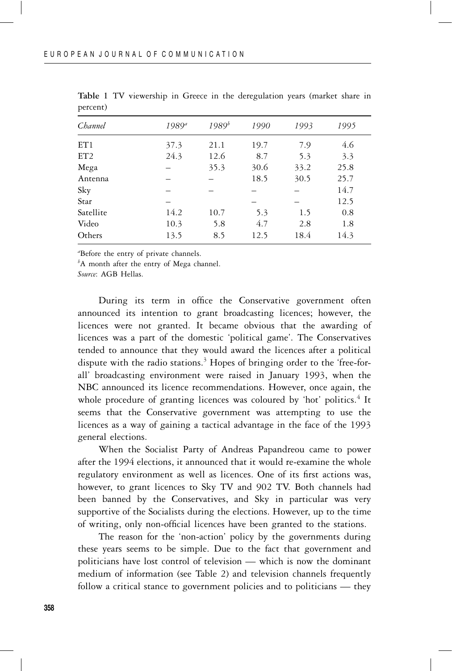| Channel   | $1989^{4}$ | $1989^{b}$ | 1990 | 1993 | 1995 |
|-----------|------------|------------|------|------|------|
| ET1       | 37.3       | 21.1       | 19.7 | 7.9  | 4.6  |
| ET2       | 24.3       | 12.6       | 8.7  | 5.3  | 3.3  |
| Mega      |            | 35.3       | 30.6 | 33.2 | 25.8 |
| Antenna   |            |            | 18.5 | 30.5 | 25.7 |
| Sky       |            |            |      |      | 14.7 |
| Star      |            |            |      |      | 12.5 |
| Satellite | 14.2       | 10.7       | 5.3  | 1.5  | 0.8  |
| Video     | 10.3       | 5.8        | 4.7  | 2.8  | 1.8  |
| Others    | 13.5       | 8.5        | 12.5 | 18.4 | 14.3 |

**Table 1** TV viewership in Greece in the deregulation years (market share in percent)

*a* Before the entry of private channels.

*b* A month after the entry of Mega channel.

*Source*: AGB Hellas.

During its term in office the Conservative government often announced its intention to grant broadcasting licences; however, the licences were not granted. It became obvious that the awarding of licences was a part of the domestic 'political game'. The Conservatives tended to announce that they would award the licences after a political dispute with the radio stations.<sup>3</sup> Hopes of bringing order to the 'free-forall' broadcasting environment were raised in January 1993, when the NBC announced its licence recommendations. However, once again, the whole procedure of granting licences was coloured by 'hot' politics.<sup>4</sup> It seems that the Conservative government was attempting to use the licences as a way of gaining a tactical advantage in the face of the 1993 general elections.

When the Socialist Party of Andreas Papandreou came to power after the 1994 elections, it announced that it would re-examine the whole regulatory environment as well as licences. One of its first actions was, however, to grant licences to Sky TV and 902 TV. Both channels had been banned by the Conservatives, and Sky in particular was very supportive of the Socialists during the elections. However, up to the time of writing, only non-official licences have been granted to the stations.

The reason for the 'non-action' policy by the governments during these years seems to be simple. Due to the fact that government and politicians have lost control of television — which is now the dominant medium of information (see Table 2) and television channels frequently follow a critical stance to government policies and to politicians — they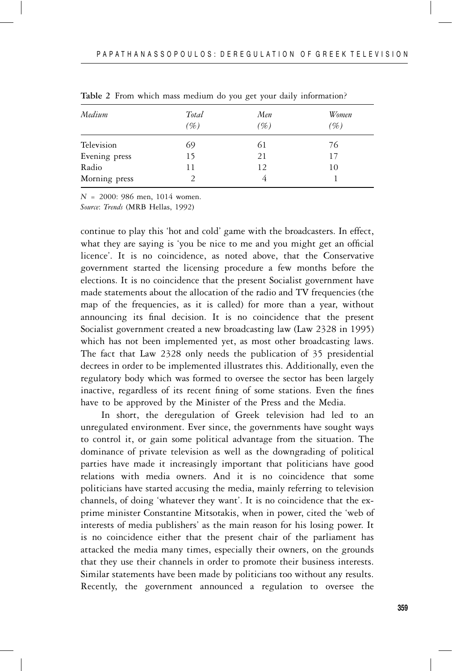| Medium        | Total | Men | Women |  |
|---------------|-------|-----|-------|--|
|               | (%)   | (%) | (%)   |  |
| Television    | 69    | 61  | 76    |  |
| Evening press | 15    | 21  | 17    |  |
| Radio         | 11    | 12  | 10    |  |
| Morning press |       | 4   |       |  |

**Table 2** From which mass medium do you get your daily information?

*N* = 2000: 986 men, 1014 women.

*Source*: *Trends* (MRB Hellas, 1992)

continue to play this 'hot and cold' game with the broadcasters. In effect, what they are saying is 'you be nice to me and you might get an official licence'. It is no coincidence, as noted above, that the Conservative government started the licensing procedure a few months before the elections. It is no coincidence that the present Socialist government have made statements about the allocation of the radio and TV frequencies (the map of the frequencies, as it is called) for more than a year, without announcing its final decision. It is no coincidence that the present Socialist government created a new broadcasting law (Law 2328 in 1995) which has not been implemented yet, as most other broadcasting laws. The fact that Law 2328 only needs the publication of 35 presidential decrees in order to be implemented illustrates this. Additionally, even the regulatory body which was formed to oversee the sector has been largely inactive, regardless of its recent fining of some stations. Even the fines have to be approved by the Minister of the Press and the Media.

In short, the deregulation of Greek television had led to an unregulated environment. Ever since, the governments have sought ways to control it, or gain some political advantage from the situation. The dominance of private television as well as the downgrading of political parties have made it increasingly important that politicians have good relations with media owners. And it is no coincidence that some politicians have started accusing the media, mainly referring to television channels, of doing 'whatever they want'. It is no coincidence that the exprime minister Constantine Mitsotakis, when in power, cited the 'web of interests of media publishers' as the main reason for his losing power. It is no coincidence either that the present chair of the parliament has attacked the media many times, especially their owners, on the grounds that they use their channels in order to promote their business interests. Similar statements have been made by politicians too without any results. Recently, the government announced a regulation to oversee the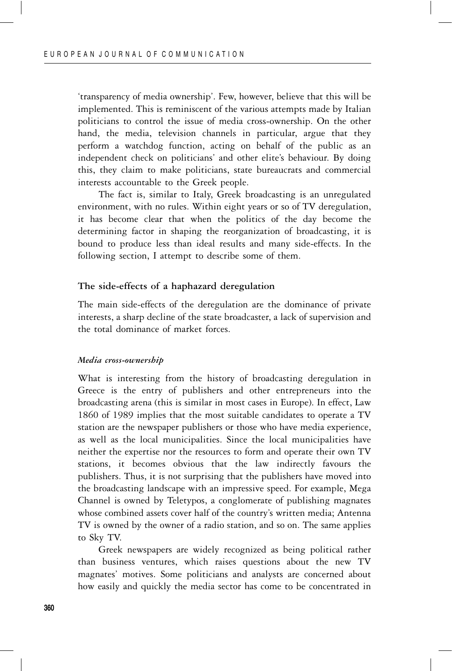'transparency of media ownership'. Few, however, believe that this will be implemented. This is reminiscent of the various attempts made by Italian politicians to control the issue of media cross-ownership. On the other hand, the media, television channels in particular, argue that they perform a watchdog function, acting on behalf of the public as an independent check on politicians' and other elite's behaviour. By doing this, they claim to make politicians, state bureaucrats and commercial interests accountable to the Greek people.

The fact is, similar to Italy, Greek broadcasting is an unregulated environment, with no rules. Within eight years or so of TV deregulation, it has become clear that when the politics of the day become the determining factor in shaping the reorganization of broadcasting, it is bound to produce less than ideal results and many side-effects. In the following section, I attempt to describe some of them.

# **The side-effects of a haphazard deregulation**

The main side-effects of the deregulation are the dominance of private interests, a sharp decline of the state broadcaster, a lack of supervision and the total dominance of market forces.

#### *Media cross-ownership*

What is interesting from the history of broadcasting deregulation in Greece is the entry of publishers and other entrepreneurs into the broadcasting arena (this is similar in most cases in Europe). In effect, Law 1860 of 1989 implies that the most suitable candidates to operate a TV station are the newspaper publishers or those who have media experience, as well as the local municipalities. Since the local municipalities have neither the expertise nor the resources to form and operate their own TV stations, it becomes obvious that the law indirectly favours the publishers. Thus, it is not surprising that the publishers have moved into the broadcasting landscape with an impressive speed. For example, Mega Channel is owned by Teletypos, a conglomerate of publishing magnates whose combined assets cover half of the country's written media; Antenna TV is owned by the owner of a radio station, and so on. The same applies to Sky TV.

Greek newspapers are widely recognized as being political rather than business ventures, which raises questions about the new TV magnates' motives. Some politicians and analysts are concerned about how easily and quickly the media sector has come to be concentrated in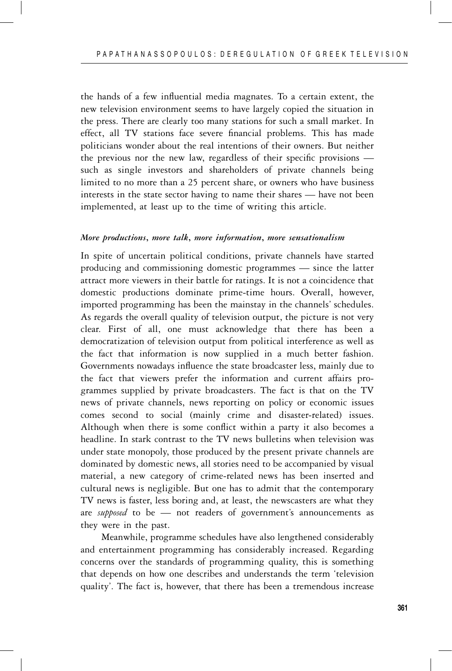the hands of a few influential media magnates. To a certain extent, the new television environment seems to have largely copied the situation in the press. There are clearly too many stations for such a small market. In effect, all TV stations face severe financial problems. This has made politicians wonder about the real intentions of their owners. But neither the previous nor the new law, regardless of their specific provisions such as single investors and shareholders of private channels being limited to no more than a 25 percent share, or owners who have business interests in the state sector having to name their shares — have not been implemented, at least up to the time of writing this article.

# *More productions***,** *more talk***,** *more information***,** *more sensationalism*

In spite of uncertain political conditions, private channels have started producing and commissioning domestic programmes — since the latter attract more viewers in their battle for ratings. It is not a coincidence that domestic productions dominate prime-time hours. Overall, however, imported programming has been the mainstay in the channels' schedules. As regards the overall quality of television output, the picture is not very clear. First of all, one must acknowledge that there has been a democratization of television output from political interference as well as the fact that information is now supplied in a much better fashion. Governments nowadays influence the state broadcaster less, mainly due to the fact that viewers prefer the information and current affairs programmes supplied by private broadcasters. The fact is that on the TV news of private channels, news reporting on policy or economic issues comes second to social (mainly crime and disaster-related) issues. Although when there is some conflict within a party it also becomes a headline. In stark contrast to the TV news bulletins when television was under state monopoly, those produced by the present private channels are dominated by domestic news, all stories need to be accompanied by visual material, a new category of crime-related news has been inserted and cultural news is negligible. But one has to admit that the contemporary TV news is faster, less boring and, at least, the newscasters are what they are *supposed* to be — not readers of government's announcements as they were in the past.

Meanwhile, programme schedules have also lengthened considerably and entertainment programming has considerably increased. Regarding concerns over the standards of programming quality, this is something that depends on how one describes and understands the term 'television quality'. The fact is, however, that there has been a tremendous increase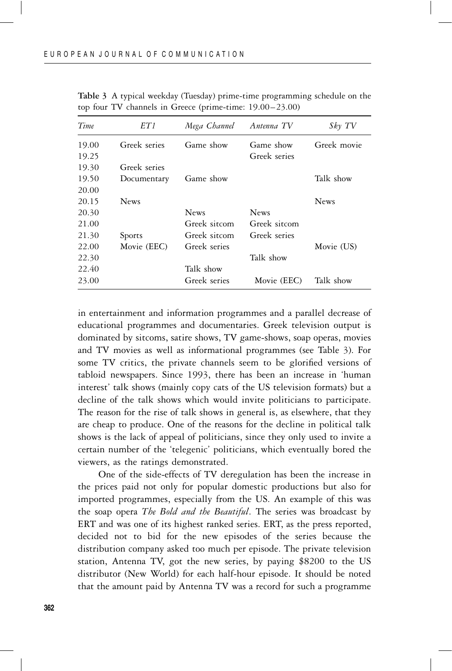| Time  | ET 1         | Mega Channel | Antenna TV   | $Sk\gamma$ TV |
|-------|--------------|--------------|--------------|---------------|
| 19.00 | Greek series | Game show    | Game show    | Greek movie   |
| 19.25 |              |              | Greek series |               |
| 19.30 | Greek series |              |              |               |
| 19.50 | Documentary  | Game show    |              | Talk show     |
| 20.00 |              |              |              |               |
| 20.15 | <b>News</b>  |              |              | <b>News</b>   |
| 20.30 |              | <b>News</b>  | <b>News</b>  |               |
| 21.00 |              | Greek sitcom | Greek sitcom |               |
| 21.30 | Sports       | Greek sitcom | Greek series |               |
| 22.00 | Movie (EEC)  | Greek series |              | Movie (US)    |
| 22.30 |              |              | Talk show    |               |
| 22.40 |              | Talk show    |              |               |
| 23.00 |              | Greek series | Movie (EEC)  | Talk show     |

**Table 3** A typical weekday (Tuesday) prime-time programming schedule on the top four TV channels in Greece (prime-time: 19.00–23.00)

in entertainment and information programmes and a parallel decrease of educational programmes and documentaries. Greek television output is dominated by sitcoms, satire shows, TV game-shows, soap operas, movies and TV movies as well as informational programmes (see Table 3). For some TV critics, the private channels seem to be glorified versions of tabloid newspapers. Since 1993, there has been an increase in 'human interest' talk shows (mainly copy cats of the US television formats) but a decline of the talk shows which would invite politicians to participate. The reason for the rise of talk shows in general is, as elsewhere, that they are cheap to produce. One of the reasons for the decline in political talk shows is the lack of appeal of politicians, since they only used to invite a certain number of the 'telegenic' politicians, which eventually bored the viewers, as the ratings demonstrated.

One of the side-effects of TV deregulation has been the increase in the prices paid not only for popular domestic productions but also for imported programmes, especially from the US. An example of this was the soap opera *The Bold and the Beautiful*. The series was broadcast by ERT and was one of its highest ranked series. ERT, as the press reported, decided not to bid for the new episodes of the series because the distribution company asked too much per episode. The private television station, Antenna TV, got the new series, by paying \$8200 to the US distributor (New World) for each half-hour episode. It should be noted that the amount paid by Antenna TV was a record for such a programme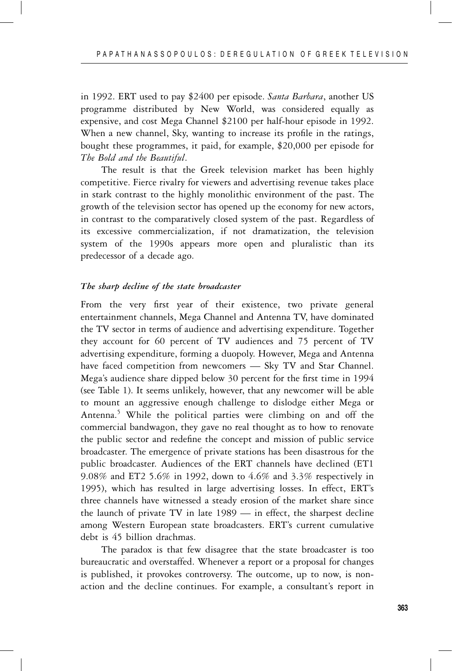in 1992. ERT used to pay \$2400 per episode. *Santa Barbara*, another US programme distributed by New World, was considered equally as expensive, and cost Mega Channel \$2100 per half-hour episode in 1992. When a new channel, Sky, wanting to increase its profile in the ratings, bought these programmes, it paid, for example, \$20,000 per episode for *The Bold and the Beautiful*.

The result is that the Greek television market has been highly competitive. Fierce rivalry for viewers and advertising revenue takes place in stark contrast to the highly monolithic environment of the past. The growth of the television sector has opened up the economy for new actors, in contrast to the comparatively closed system of the past. Regardless of its excessive commercialization, if not dramatization, the television system of the 1990s appears more open and pluralistic than its predecessor of a decade ago.

# *The sharp decline of the state broadcaster*

From the very first year of their existence, two private general entertainment channels, Mega Channel and Antenna TV, have dominated the TV sector in terms of audience and advertising expenditure. Together they account for 60 percent of TV audiences and 75 percent of TV advertising expenditure, forming a duopoly. However, Mega and Antenna have faced competition from newcomers — Sky TV and Star Channel. Mega's audience share dipped below 30 percent for the first time in 1994 (see Table 1). It seems unlikely, however, that any newcomer will be able to mount an aggressive enough challenge to dislodge either Mega or Antenna.<sup>5</sup> While the political parties were climbing on and off the commercial bandwagon, they gave no real thought as to how to renovate the public sector and redefine the concept and mission of public service broadcaster. The emergence of private stations has been disastrous for the public broadcaster. Audiences of the ERT channels have declined (ET1 9.08% and ET2 5.6% in 1992, down to 4.6% and 3.3% respectively in 1995), which has resulted in large advertising losses. In effect, ERT's three channels have witnessed a steady erosion of the market share since the launch of private TV in late 1989 — in effect, the sharpest decline among Western European state broadcasters. ERT's current cumulative debt is 45 billion drachmas.

The paradox is that few disagree that the state broadcaster is too bureaucratic and overstaffed. Whenever a report or a proposal for changes is published, it provokes controversy. The outcome, up to now, is nonaction and the decline continues. For example, a consultant's report in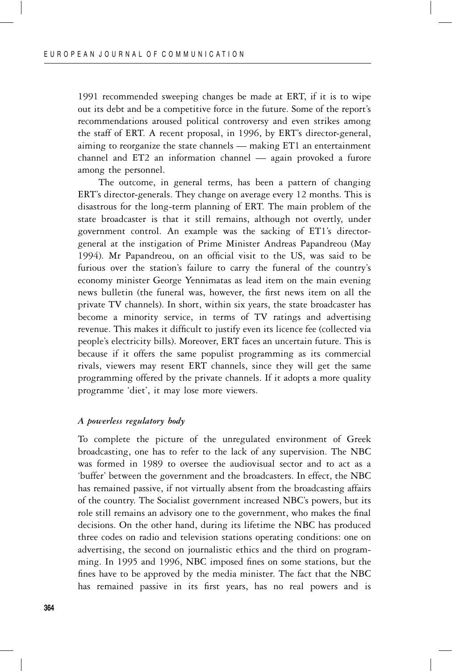1991 recommended sweeping changes be made at ERT, if it is to wipe out its debt and be a competitive force in the future. Some of the report's recommendations aroused political controversy and even strikes among the staff of ERT. A recent proposal, in 1996, by ERT's director-general, aiming to reorganize the state channels — making ET1 an entertainment channel and ET2 an information channel — again provoked a furore among the personnel.

The outcome, in general terms, has been a pattern of changing ERT's director-generals. They change on average every 12 months. This is disastrous for the long-term planning of ERT. The main problem of the state broadcaster is that it still remains, although not overtly, under government control. An example was the sacking of ET1's directorgeneral at the instigation of Prime Minister Andreas Papandreou (May 1994). Mr Papandreou, on an official visit to the US, was said to be furious over the station's failure to carry the funeral of the country's economy minister George Yennimatas as lead item on the main evening news bulletin (the funeral was, however, the first news item on all the private TV channels). In short, within six years, the state broadcaster has become a minority service, in terms of TV ratings and advertising revenue. This makes it difficult to justify even its licence fee (collected via people's electricity bills). Moreover, ERT faces an uncertain future. This is because if it offers the same populist programming as its commercial rivals, viewers may resent ERT channels, since they will get the same programming offered by the private channels. If it adopts a more quality programme 'diet', it may lose more viewers.

#### *A powerless regulatory body*

To complete the picture of the unregulated environment of Greek broadcasting, one has to refer to the lack of any supervision. The NBC was formed in 1989 to oversee the audiovisual sector and to act as a 'buffer' between the government and the broadcasters. In effect, the NBC has remained passive, if not virtually absent from the broadcasting affairs of the country. The Socialist government increased NBC's powers, but its role still remains an advisory one to the government, who makes the final decisions. On the other hand, during its lifetime the NBC has produced three codes on radio and television stations operating conditions: one on advertising, the second on journalistic ethics and the third on programming. In 1995 and 1996, NBC imposed fines on some stations, but the fines have to be approved by the media minister. The fact that the NBC has remained passive in its first years, has no real powers and is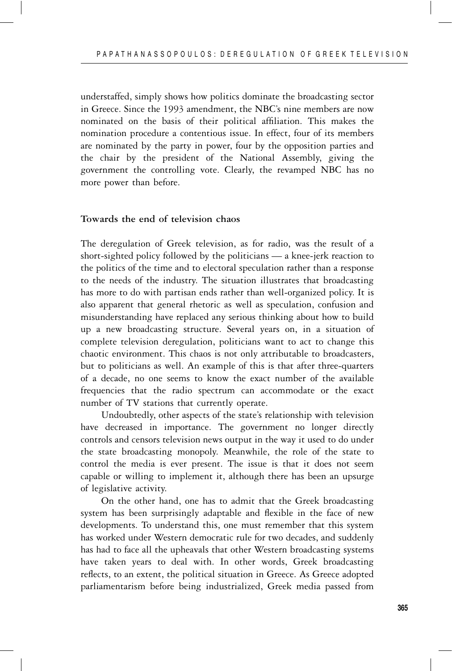understaffed, simply shows how politics dominate the broadcasting sector in Greece. Since the 1993 amendment, the NBC's nine members are now nominated on the basis of their political affiliation. This makes the nomination procedure a contentious issue. In effect, four of its members are nominated by the party in power, four by the opposition parties and the chair by the president of the National Assembly, giving the government the controlling vote. Clearly, the revamped NBC has no more power than before.

# **Towards the end of television chaos**

The deregulation of Greek television, as for radio, was the result of a short-sighted policy followed by the politicians — a knee-jerk reaction to the politics of the time and to electoral speculation rather than a response to the needs of the industry. The situation illustrates that broadcasting has more to do with partisan ends rather than well-organized policy. It is also apparent that general rhetoric as well as speculation, confusion and misunderstanding have replaced any serious thinking about how to build up a new broadcasting structure. Several years on, in a situation of complete television deregulation, politicians want to act to change this chaotic environment. This chaos is not only attributable to broadcasters, but to politicians as well. An example of this is that after three-quarters of a decade, no one seems to know the exact number of the available frequencies that the radio spectrum can accommodate or the exact number of TV stations that currently operate.

Undoubtedly, other aspects of the state's relationship with television have decreased in importance. The government no longer directly controls and censors television news output in the way it used to do under the state broadcasting monopoly. Meanwhile, the role of the state to control the media is ever present. The issue is that it does not seem capable or willing to implement it, although there has been an upsurge of legislative activity.

On the other hand, one has to admit that the Greek broadcasting system has been surprisingly adaptable and flexible in the face of new developments. To understand this, one must remember that this system has worked under Western democratic rule for two decades, and suddenly has had to face all the upheavals that other Western broadcasting systems have taken years to deal with. In other words, Greek broadcasting reflects, to an extent, the political situation in Greece. As Greece adopted parliamentarism before being industrialized, Greek media passed from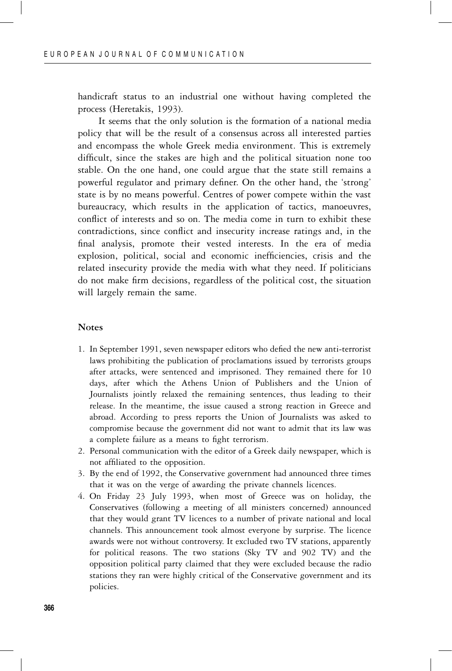handicraft status to an industrial one without having completed the process (Heretakis, 1993).

It seems that the only solution is the formation of a national media policy that will be the result of a consensus across all interested parties and encompass the whole Greek media environment. This is extremely difficult, since the stakes are high and the political situation none too stable. On the one hand, one could argue that the state still remains a powerful regulator and primary definer. On the other hand, the 'strong' state is by no means powerful. Centres of power compete within the vast bureaucracy, which results in the application of tactics, manoeuvres, conflict of interests and so on. The media come in turn to exhibit these contradictions, since conflict and insecurity increase ratings and, in the final analysis, promote their vested interests. In the era of media explosion, political, social and economic inefficiencies, crisis and the related insecurity provide the media with what they need. If politicians do not make firm decisions, regardless of the political cost, the situation will largely remain the same.

#### **Notes**

- 1. In September 1991, seven newspaper editors who defied the new anti-terrorist laws prohibiting the publication of proclamations issued by terrorists groups after attacks, were sentenced and imprisoned. They remained there for 10 days, after which the Athens Union of Publishers and the Union of Journalists jointly relaxed the remaining sentences, thus leading to their release. In the meantime, the issue caused a strong reaction in Greece and abroad. According to press reports the Union of Journalists was asked to compromise because the government did not want to admit that its law was a complete failure as a means to fight terrorism.
- 2. Personal communication with the editor of a Greek daily newspaper, which is not affiliated to the opposition.
- 3. By the end of 1992, the Conservative government had announced three times that it was on the verge of awarding the private channels licences.
- 4. On Friday 23 July 1993, when most of Greece was on holiday, the Conservatives (following a meeting of all ministers concerned) announced that they would grant TV licences to a number of private national and local channels. This announcement took almost everyone by surprise. The licence awards were not without controversy. It excluded two TV stations, apparently for political reasons. The two stations (Sky TV and 902 TV) and the opposition political party claimed that they were excluded because the radio stations they ran were highly critical of the Conservative government and its policies.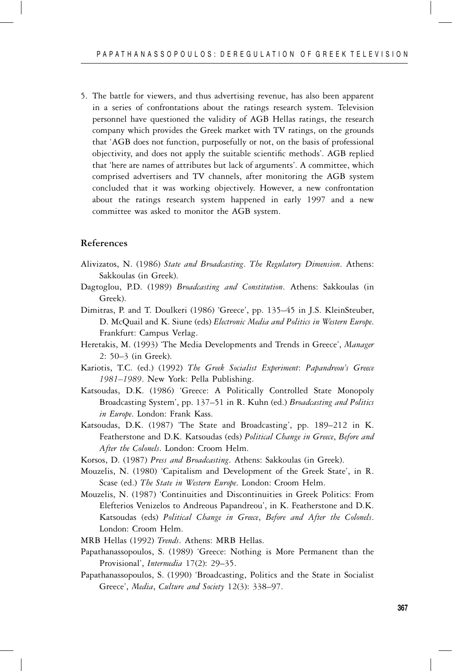5. The battle for viewers, and thus advertising revenue, has also been apparent in a series of confrontations about the ratings research system. Television personnel have questioned the validity of AGB Hellas ratings, the research company which provides the Greek market with TV ratings, on the grounds that 'AGB does not function, purposefully or not, on the basis of professional objectivity, and does not apply the suitable scientific methods'. AGB replied that 'here are names of attributes but lack of arguments'. A committee, which comprised advertisers and TV channels, after monitoring the AGB system concluded that it was working objectively. However, a new confrontation about the ratings research system happened in early 1997 and a new committee was asked to monitor the AGB system.

#### **References**

- Alivizatos, N. (1986) *State and Broadcasting*. *The Regulatory Dimension*. Athens: Sakkoulas (in Greek).
- Dagtoglou, P.D. (1989) *Broadcasting and Constitution*. Athens: Sakkoulas (in Greek).
- Dimitras, P. and T. Doulkeri (1986) 'Greece', pp. 135–45 in J.S. KleinSteuber, D. McQuail and K. Siune (eds) *Electronic Media and Politics in Western Europe*. Frankfurt: Campus Verlag.
- Heretakis, M. (1993) 'The Media Developments and Trends in Greece', *Manager* 2: 50–3 (in Greek).
- Kariotis, T.C. (ed.) (1992) *The Greek Socialist Experiment*: *Papandreou's Greece 1981–1989*. New York: Pella Publishing.
- Katsoudas, D.K. (1986) 'Greece: A Politically Controlled State Monopoly Broadcasting System', pp. 137–51 in R. Kuhn (ed.) *Broadcasting and Politics in Europe*. London: Frank Kass.
- Katsoudas, D.K. (1987) 'The State and Broadcasting', pp. 189–212 in K. Featherstone and D.K. Katsoudas (eds) *Political Change in Greece*, *Before and After the Colonels*. London: Croom Helm.
- Korsos, D. (1987) *Press and Broadcasting*. Athens: Sakkoulas (in Greek).
- Mouzelis, N. (1980) 'Capitalism and Development of the Greek State', in R. Scase (ed.) *The State in Western Europe*. London: Croom Helm.
- Mouzelis, N. (1987) 'Continuities and Discontinuities in Greek Politics: From Elefterios Venizelos to Andreous Papandreou', in K. Featherstone and D.K. Katsoudas (eds) *Political Change in Greece*, *Before and After the Colonels*. London: Croom Helm.
- MRB Hellas (1992) *Trends*. Athens: MRB Hellas.
- Papathanassopoulos, S. (1989) 'Greece: Nothing is More Permanent than the Provisional', *Intermedia* 17(2): 29–35.
- Papathanassopoulos, S. (1990) 'Broadcasting, Politics and the State in Socialist Greece', *Media*, *Culture and Society* 12(3): 338–97.